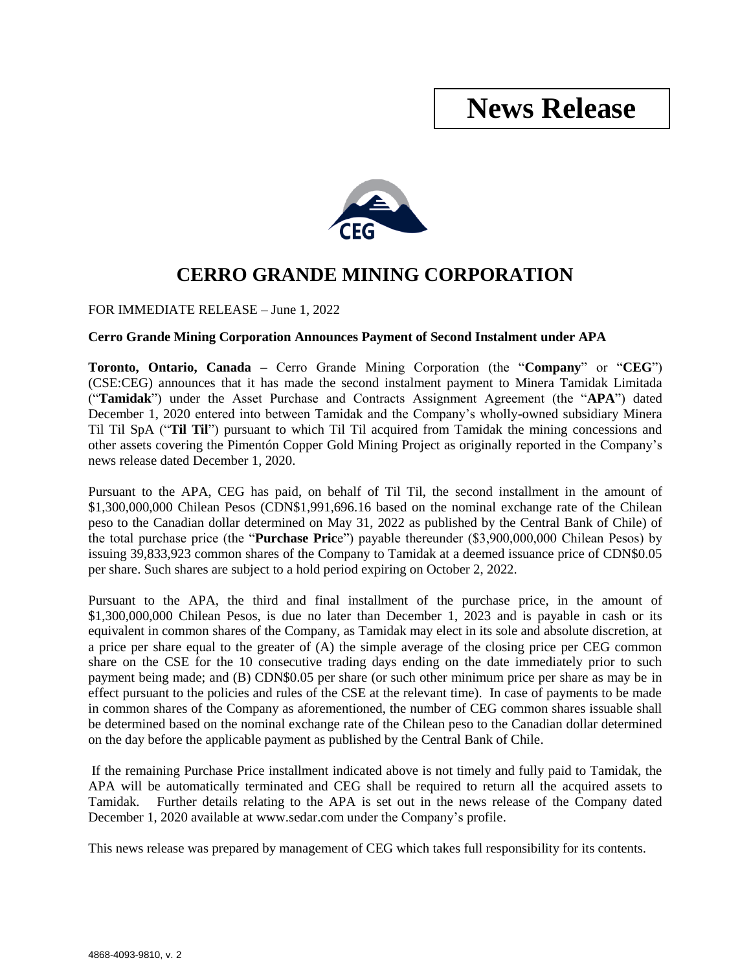## **News Release**



## **CERRO GRANDE MINING CORPORATION**

FOR IMMEDIATE RELEASE – June 1, 2022

## **Cerro Grande Mining Corporation Announces Payment of Second Instalment under APA**

**Toronto, Ontario, Canada –** Cerro Grande Mining Corporation (the "**Company**" or "**CEG**") (CSE:CEG) announces that it has made the second instalment payment to Minera Tamidak Limitada ("**Tamidak**") under the Asset Purchase and Contracts Assignment Agreement (the "**APA**") dated December 1, 2020 entered into between Tamidak and the Company's wholly-owned subsidiary Minera Til Til SpA ("**Til Til**") pursuant to which Til Til acquired from Tamidak the mining concessions and other assets covering the Pimentón Copper Gold Mining Project as originally reported in the Company's news release dated December 1, 2020.

Pursuant to the APA, CEG has paid, on behalf of Til Til, the second installment in the amount of \$1,300,000,000 Chilean Pesos (CDN\$1,991,696.16 based on the nominal exchange rate of the Chilean peso to the Canadian dollar determined on May 31, 2022 as published by the Central Bank of Chile) of the total purchase price (the "**Purchase Pric**e") payable thereunder (\$3,900,000,000 Chilean Pesos) by issuing 39,833,923 common shares of the Company to Tamidak at a deemed issuance price of CDN\$0.05 per share. Such shares are subject to a hold period expiring on October 2, 2022.

Pursuant to the APA, the third and final installment of the purchase price, in the amount of \$1,300,000,000 Chilean Pesos, is due no later than December 1, 2023 and is payable in cash or its equivalent in common shares of the Company, as Tamidak may elect in its sole and absolute discretion, at a price per share equal to the greater of (A) the simple average of the closing price per CEG common share on the CSE for the 10 consecutive trading days ending on the date immediately prior to such payment being made; and (B) CDN\$0.05 per share (or such other minimum price per share as may be in effect pursuant to the policies and rules of the CSE at the relevant time). In case of payments to be made in common shares of the Company as aforementioned, the number of CEG common shares issuable shall be determined based on the nominal exchange rate of the Chilean peso to the Canadian dollar determined on the day before the applicable payment as published by the Central Bank of Chile.

If the remaining Purchase Price installment indicated above is not timely and fully paid to Tamidak, the APA will be automatically terminated and CEG shall be required to return all the acquired assets to Tamidak. Further details relating to the APA is set out in the news release of the Company dated December 1, 2020 available at www.sedar.com under the Company's profile.

This news release was prepared by management of CEG which takes full responsibility for its contents.